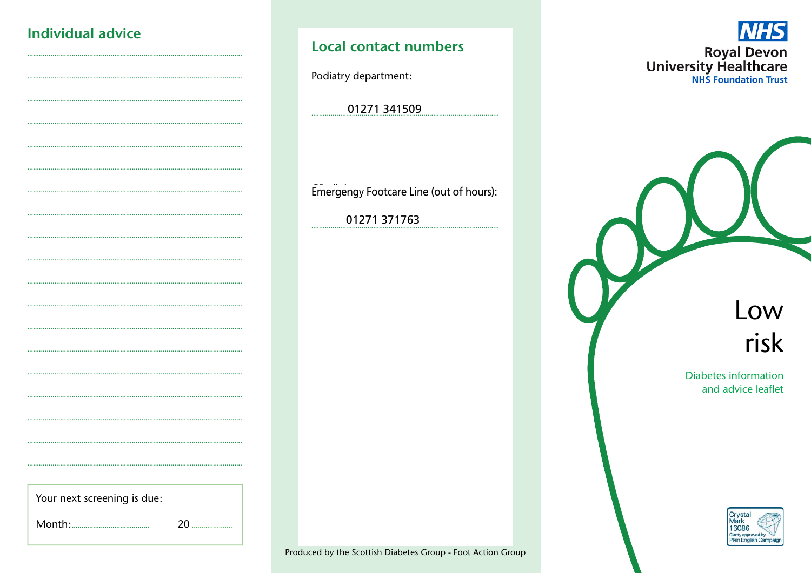# Individual advice

## **Local contact numbers**

Podiatry department:

01271 341509

Emergengy Footcare Line (out of hours):

01271 371763

**INHS Royal Devon**<br>University Healthcare

> Low risk

**Diabetes information** and advice leaflet



Produced by the Scottish Diabetes Group - Foot Action Group

Your next screening is due:

20